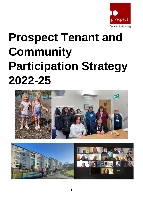

# **Prospect Tenant and Community Participation Strategy 2022-25**



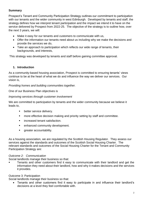# **Summary**

Prospect's Tenant and Community Participation Strategy outlines our commitment to participation with our tenants and the wider community in west Edinburgh. Developed by tenants and staff, the strategy defines how we interpret tenant participation and the impact we intend it to have on the service delivered by Prospect from 2022-25. The objective of the strategy is to outline how, over the next 3 years, we will:

- Make it easy for our tenants and customers to communicate with us,
- Offer the information our tenants need about us including why we make the decisions and provide the services we do,
- Take an approach to participation which reflects our wide range of tenants, their backgrounds, and interests,

This strategy was developed by tenants and staff before gaining committee approval.

## **1. Introduction**

As a community-based housing association, Prospect is committed to ensuring tenants' views continue to be at the heart of what we do and influence the way we deliver our services. Our vision is,

*Providing homes and building communities together.*

One of our Business Plan objectives is

## *Improving services through customer involvement*

We are committed to participation by tenants and the wider community because we believe it leads to,

- **•** better service delivery.
- more effective decision making and priority setting by staff and committee.
- increased tenant satisfaction.
- enhanced community development.
- **■** greater accountability.

As a housing association, we are regulated by the Scottish Housing Regulator. They assess our services against the standards and outcomes of the Scottish Social Housing Charter. The relevant standards and outcomes of the Social [Housing](http://housingcharter.scotland.gov.uk/) Charter for the Tenant and Community Participation Strategy are:

## *Outcome 2: Communication*

Social landlords manage their business so that:

Tenants and other customers find it easy to communicate with their landlord and get the information they need about their landlord, how and why it makes decisions and the services it provides.

## Outcome 3: Participation

Social landlords manage their business so that:

• Tenants and other customers find it easy to participate in and influence their landlord's decisions at a level they feel comfortable with.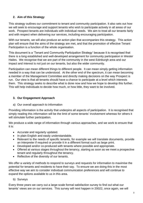# **2. Aim of this Strategy**

This strategy outlines our commitment to tenant and community participation. It also sets out how we will seek to encourage and support tenants who wish to participate actively in all areas of our work. Prospect tenants are individuals with individual needs. We aim to treat all our tenants fairly and with respect when delivering our services, including encouraging participation.

With our tenants, we will also produce an action plan that accompanies this strategy. This action plan will ensure that the aims of the strategy are met, and that the promotion of effective Tenant Participation is a function of the whole organisation.

This document is a 'Tenant and Community Participation Strategy' because it is recognised that there is a long established and well-developed arrangement for community participation in Wester Hailes. We recognise that we are part of the community in the west Edinburgh area and our impact and interest is not just on our tenants, but also the wider community.

Participation can mean different things to different people. It can mean simply getting information needed in a way that can be understood. At the other end of the spectrum, it can mean becoming a member of the Management Committee and directly making decisions on the way Prospect is run. Our view is that all tenants should have a chance to participate at a level which interests them. This strategy seeks to describe what is done now and how we hope to develop this further. This will help individuals to decide how much, or how little, they want to be involved.

# **3. Our Engagement Approach**

a) Our overall approach to information

Providing information is the activity that underpins all aspects of participation. It is recognised that simply reading this information will be the limit of some tenants' involvement whereas for others it will stimulate further participation.

We produce a wide range of information through various approaches, and we work to ensure that it is:

- Accurate and regularly updated.
- In plain English and easily understandable.
- Relevant to the needs of specific tenants, for example we will translate documents, provide an interpreter if required or provide it in a different format such as large print.
- Developed and/or co-produced with tenants where possible and appropriate.
- Offered at various stages throughout the tenancy, starting as soon as we meet a prospective tenant and regularly throughout the tenancy.
- Reflective of the diversity of our tenants.

We offer a variety of methods to respond to surveys and requests for information to maximise the potential for tenants and residents to have their say. To ensure we are doing this in the most effective way we aim to consider individual communication preferences and will continue to expand the options available to us in this area.

b) Surveys

Every three years we carry out a large-scale formal satisfaction survey to find out what our tenants' views are on our services. This survey will next happen in 20022, once again, we will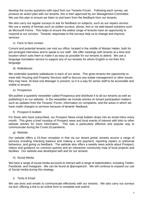develop the survey questions with input from our Tenants Forum. Following each survey, we produce an action plan with our tenants, this is then approved by our Management Committee. We use this plan to ensure we listen to and learn from the feedback from our tenants.

We also carry out regular surveys to ask for feedback on subjects, such as our repairs service. We use a variety of formats such as written surveys, phone, text or via web-based solutions such as Microsoft Forms. This helps to ensure the widest range of tenants have an opportunity to respond to our surveys. Tenants' responses to the surveys help us to change and improve services.

c) Face to face contact

Current and potential tenants can visit our office, located in the middle of Wester Hailes, both for pre-arranged interviews and to speak to our staff. We offer meetings with tenants at a time and location which suits them to make it as easy as possible for our tenants to attend. We use a language translation service to support any of our tenants for whom English is not their first language.

d) Walkabouts

We undertake quarterly walkabouts in each of our areas. This gives tenants the opportunity to meet with Housing and Property Services staff to discuss any estate management or other issues they may have. At least one Manager is present, so it is a way for senior staff to be accessible and visible to tenants.

e) Prospectus

We publish a quarterly newsletter called Prospectus and distribute it to all our tenants as well as publishing it on our website. In the newsletter we include articles on tenant participation matters such as updates from the Tenants' Forum, information on complaints, and the areas in which we have made changes to services because of tenants' feedback.

f) Prospect E-bulletin

For those who have subscribed, our Prospect News email bulletin drops into an email inbox every month. This gives a brief roundup of Prospect news and local events of interest with links to other website articles for more information. This was a particularly effective and popular way to communicate during the Covid-19 pandemic.

g) Website

Our website offers a 24-hour reception in that via our tenant portal, tenants access a range of services including checking balance and making a rent payment, reporting repairs or antisocial behaviour, and giving us feedback. The website also offers a weekly news article about Prospect, videos and guidance on common queries and an interactive community map of local projects and facilities. Our website was developed with and for our tenants.

h) Social Media

We have a range of social media accounts to interact with a range of stakeholders, including Twitter, Facebook, and Instagram. We can be found at @prospectch. We will continue to expand our use of Social media during this strategy.

i) Texts & Email

We use texts and emails to communicate effectively with our tenants. We also carry out surveys via text, offering a link to an online form to complete and submit.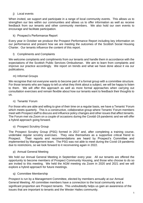## j) Local events

When invited, we support and participate in a range of local community events. This allows us to strengthen our ties within our communities and allows us to offer information as well as receive feedback from our tenants and other community members. We also hold our own events to encourage and facilitate participation.

## k) Prospect's Performance Report

Every year in October we produce the Prospect Performance Report including key information on our performance and present how we are meeting the outcomes of the Scottish Social Housing Charter. Our tenants influence the content of this report.

## l) Compliments and Complaints

We welcome complaints and compliments from our tenants and handle them in accordance with the expectations of the Scottish Public Services Ombudsman. We aim to learn from complaints and improve our practice accordingly. We report on trends and what we have done about it via our publications.

## m) Informal Groups

We recognise that not everyone wants to become part of a formal group with a committee structure. For those tenants who are happy to tell us what they think about a subject, we will be happy to listen to them. We will offer this approach as well as more formal approaches when carrying out consultation exercises and remain flexible about how our tenants want to feedback their thoughts to us.

## n) Tenants' Forum

For those who are able and willing to give of their time on a regular basis, we have a Tenants' Forum which meets quarterly. This is a constructive, collaborative group where Tenants' Forum members meet with Prospect staff to discuss and influence policy changes and other issues that affect tenants. The Forum met via Zoom on a couple of occasions during the Covidd-19 pandemic and we will offer a hybrid approach going forward.

## o) Prospect Scrutiny Group

The Prospect Scrutiny Group (PSG) formed in 2017 and, after completing a training course, undertake regular scrutiny exercises. They view themselves as a supportive critical friend to Prospect. Their reports and recommendations are heard by Prospect's Committee and implemented by Management team. The PSG was not able to meet during the Covid-19 pandemic due to restrictions, so we look forward to it reconvening again in 2022.

## p) Annual General Meeting

We hold our Annual General Meeting in September every year. All our tenants are offered the opportunity to become members of Prospect Community Housing, and those who choose to do so are invited to this meeting. We held the AGM meeting via Zoom in 2020 and 2021 and we will explore a hybrid approach for future meetings.

## q) Committee Membership

Prospect is run by a Management Committee, elected by members annually at our Annual General Meeting. All committee members have a connection to the local community and a significant proportion are Prospect tenants. This undoubtedly helps us gain an awareness of the issues that are important to tenants and the Wester Hailes community.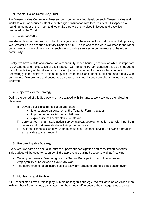r) Wester Hailes Community Trust

The Wester Hailes Community Trust supports community led development in Wester Hailes and works to a set of priorities established through consultation with local residents. Prospect is a founding member of the Trust, and we make sure we are involved in issues and activities promoted by the Trust.

s) Local Networks

We share ideas and issues with other local agencies in the area via local networks including Living Well Wester Hailes and the Voluntary Sector Forum. This is one of the ways we listen to the wider community and work closely with agencies who provide services to our tenants and the wider community.

Finally, we have a style of approach as a community-based housing association which is important to our tenants and the success of this strategy. Our Tenants' Forum identified this as an important part of the delivery of this strategy, i.e., it's not just what you do, it's the way that you do it. Accordingly, in the delivery of this strategy we aim to be reliable, honest, efficient, and friendly with our tenants. We promote and encourage a sense of community and care about the individuals we work with.

## 4. Objectives for the Strategy

During the period of this Strategy, we have agreed with Tenants to work towards the following objectives.

- i) Develop our digital participation approach:
	- to encourage participation at the Tenants' Forum via zoom
	- to promote our social media platforms
	- explore use of Facebook live to interact
- ii) Carry out our Tenant Satisfaction Survey in 2022, develop an action plan with input from tenants and work towards these to improve services.
- iii) Invite the Prospect Scrutiny Group to scrutinise Prospect services, following a break in scrutiny due to the pandemic.

# **5. Resourcing this Strategy**

Every year we agree an annual budget to support our participation and consultation activities. This budget will be used to resource all the approaches outlined above as well as financing:

- Training for tenants. We recognise that Tenant Participation can link to increased employability or be viewed as voluntary work.
- Transport, crèche, or childcare costs to allow any tenant to attend a participation event.

# **6. Monitoring and Review**

All Prospect staff have a role to play in implementing this strategy. We will develop an Action Plan with feedback from tenants, committee members and staff to ensure the strategy aims are met.